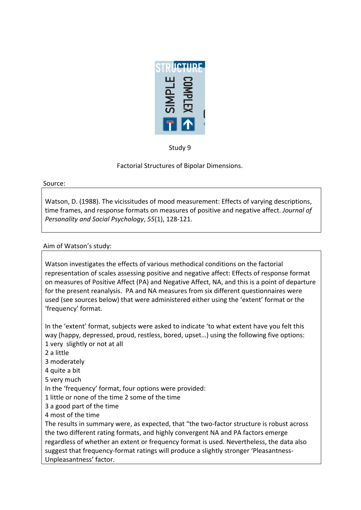

Study 9

Factorial Structures of Bipolar Dimensions.

### Source:

Watson, D. (1988). The vicissitudes of mood measurement: Effects of varying descriptions, time frames, and response formats on measures of positive and negative affect. *Journal of Personality and Social Psychology, 55(1), 128-121.* 

# Aim of Watson's study:

Watson investigates the effects of various methodical conditions on the factorial representation of scales assessing positive and negative affect: Effects of response format on measures of Positive Affect (PA) and Negative Affect, NA, and this is a point of departure for the present reanalysis. PA and NA measures from six different questionnaires were used (see sources below) that were administered either using the 'extent' format or the 'frequency' format.

In the 'extent' format, subjects were asked to indicate 'to what extent have you felt this way (happy, depressed, proud, restless, bored, upset...) using the following five options: 1 very slightly or not at all 2 a little 3 moderately 4 quite a bit 5 very much In the 'frequency' format, four options were provided: 1 little or none of the time 2 some of the time 3 a good part of the time 4 most of the time The results in summary were, as expected, that "the two-factor structure is robust across the two different rating formats, and highly convergent NA and PA factors emerge regardless of whether an extent or frequency format is used. Nevertheless, the data also suggest that frequency-format ratings will produce a slightly stronger 'Pleasantness-Unpleasantness' factor.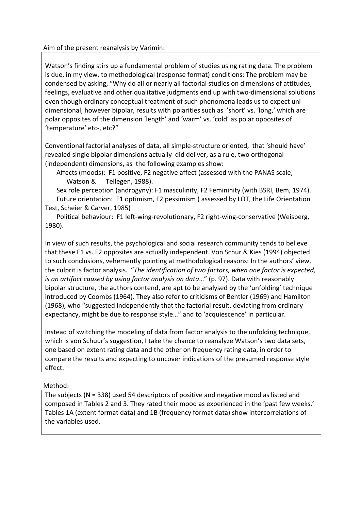Aim of the present reanalysis by Varimin:

Watson's finding stirs up a fundamental problem of studies using rating data. The problem is due, in my view, to methodological (response format) conditions: The problem may be condensed by asking, "Why do all or nearly all factorial studies on dimensions of attitudes, feelings, evaluative and other qualitative judgments end up with two-dimensional solutions even though ordinary conceptual treatment of such phenomena leads us to expect unidimensional, however bipolar, results with polarities such as 'short' vs. 'long,' which are polar opposites of the dimension 'length' and 'warm' vs. 'cold' as polar opposites of 'temperature' etc-, etc?"

Conventional factorial analyses of data, all simple-structure oriented, that 'should have' revealed single bipolar dimensions actually did deliver, as a rule, two orthogonal (independent) dimensions, as the following examples show:

Affects (moods): F1 positive, F2 negative affect (assessed with the PANAS scale, Watson & Tellegen, 1988).

Sex role perception (androgyny): F1 masculinity, F2 Femininity (with BSRI, Bem, 1974). Future orientation: F1 optimism, F2 pessimism ( assessed by LOT, the Life Orientation Test, Scheier & Carver, 1985)

Political behaviour: F1 left-wing-revolutionary, F2 right-wing-conservative (Weisberg, 1980).

In view of such results, the psychological and social research community tends to believe that these F1 vs. F2 opposites are actually independent. Von Schur & Kies (1994) objected to such conclusions, vehemently pointing at methodological reasons: In the authors' view, the culprit is factor analysis. "The identification of two factors, when one factor is expected, *is an artifact caused by using factor analysis on data..."* (p. 97). Data with reasonably bipolar structure, the authors contend, are apt to be analysed by the 'unfolding' technique introduced by Coombs (1964). They also refer to criticisms of Bentler (1969) and Hamilton (1968), who "suggested independently that the factorial result, deviating from ordinary expectancy, might be due to response style..." and to 'acquiescence' in particular.

Instead of switching the modeling of data from factor analysis to the unfolding technique, which is von Schuur's suggestion, I take the chance to reanalyze Watson's two data sets, one based on extent rating data and the other on frequency rating data, in order to compare the results and expecting to uncover indications of the presumed response style effect.

## Method:

The subjects (N = 338) used 54 descriptors of positive and negative mood as listed and composed in Tables 2 and 3. They rated their mood as experienced in the 'past few weeks.' Tables 1A (extent format data) and 1B (frequency format data) show intercorrelations of the variables used.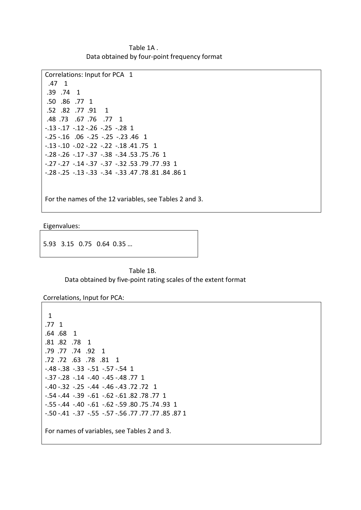Table 1A. Data obtained by four-point frequency format

```
Correlations: Input for PCA 1
 .47 1
.39 .74 1
.50 .86 .77 1
.52 .82 .77 .91 1
.48 .73 .67 .76 .77 1
-0.13 -0.17 -0.12 -0.26 -0.25 -0.28 1
-0.25 -0.16 -0.06 -0.25 -0.25 -0.23 -0.46 1
-13 -10 -02 -22 -22 -18 -41 -75 -1-0.28 -0.26 -0.17 -0.37 -0.38 -0.34 -0.53 -0.75 -0.76 1
-0.27 -0.27 -0.14 -0.37 -0.37 -0.32 0.53 0.77 0.93 1
E.28!E.25!!E.13!E.33!!E.34!!E.33!.47!.78!.81!.84!.86!1
```
For the names of the 12 variables, see Tables 2 and 3.

Eigenvalues:

5.93 3.15 0.75 0.64 0.35 ...

### Table 1B. Data obtained by five-point rating scales of the extent format

Correlations, Input for PCA:

```
!!1
.77 \; 1.64 .68 1
.81 .82 .78 1
.79 .77 .74 .92 1
.72 .73 .78 .81 1
-48 -38 -33 -51 -57 -54 1
-0.37 - 0.28 - 0.14 - 0.40 - 0.45 - 0.48-0.40 -0.32 -0.25 -0.44 -0.46 -0.43 -0.72 -0.72 1
-54 - .44 -39 - .61 -62 - .61.82.78.77 1
E.55!E.44!!E.40!!E.61!!E.62!E.59!.80!.75!.74!.93!!1
E.50!E.41!!E.37!!E.55!!E.57!E.56!.77!.77!.77!.85!.87!1
For names of variables, see Tables 2 and 3.
```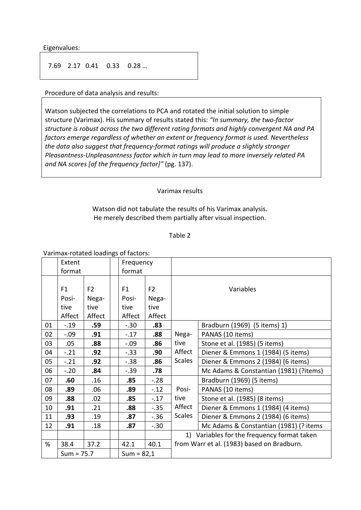Eigenvalues:

7.69 2.17 0.41 0.33 0.28 ...

Procedure of data analysis and results:

Watson subjected the correlations to PCA and rotated the initial solution to simple structure (Varimax). His summary of results stated this: "In summary, the two-factor structure is robust across the two different rating formats and highly convergent NA and PA factors emerge regardless of whether an extent or frequency format is used. Nevertheless the data also suggest that frequency-format ratings will produce a slightly stronger Pleasantness-Unpleasantness factor which in turn may lead to more inversely related PA and NA scores [of the frequency factor]" (pg. 137).

#### Varimax results

Watson did not tabulate the results of his Varimax analysis. He merely described them partially after visual inspection.

#### Table 2

Varimax-rotated loadings of factors:

|    | Extent         |                | Frequency    |                |                                            |                                             |  |
|----|----------------|----------------|--------------|----------------|--------------------------------------------|---------------------------------------------|--|
|    | format         |                | format       |                |                                            |                                             |  |
|    |                |                |              |                |                                            |                                             |  |
|    | F <sub>1</sub> | F <sub>2</sub> | F1           | F <sub>2</sub> | Variables                                  |                                             |  |
|    | Posi-          | Nega-          | Posi-        | Nega-          |                                            |                                             |  |
|    | tive           | tive           | tive         | tive           |                                            |                                             |  |
|    | Affect         | Affect         | Affect       | Affect         |                                            |                                             |  |
| 01 | $-.19$         | .59            | $-.30$       | .83            |                                            | Bradburn (1969) (5 items) 1)                |  |
| 02 | $-.09$         | .91            | $-.17$       | .88            | Nega-<br>tive                              | PANAS (10 items)                            |  |
| 03 | .05            | .88            | $-.09$       | .86            |                                            | Stone et al. (1985) (5 items)               |  |
| 04 | $-.21$         | .92            | $-.33$       | .90            | Affect                                     | Diener & Emmons 1 (1984) (5 items)          |  |
| 05 | $-.21$         | .92            | $-.38$       | .86            | <b>Scales</b>                              | Diener & Emmons 2 (1984) (6 items)          |  |
| 06 | $-.20$         | .84            | $-.39$       | .78            |                                            | Mc Adams & Constantian (1981) (?items)      |  |
| 07 | .60            | .16            | .85          | $-.28$         |                                            | Bradburn (1969) (5 items)                   |  |
| 08 | .89            | .06            | .89          | $-.12$         | Posi-<br>tive                              | PANAS (10 items)                            |  |
| 09 | .88            | .02            | .85          | $-.17$         |                                            | Stone et al. (1985) (8 items)               |  |
| 10 | .91            | .21            | .88          | $-.35$         | Affect                                     | Diener & Emmons 1 (1984) (4 items)          |  |
| 11 | .93            | .19            | .87          | $-.36$         | <b>Scales</b>                              | Diener & Emmons 2 (1984) (6 items)          |  |
| 12 | .91            | .18            | .87          | $-.30$         |                                            | Mc Adams & Constantian (1981) (? items      |  |
|    |                |                |              |                |                                            | 1) Variables for the frequency format taken |  |
| %  | 38.4           | 37.2           | 42.1         | 40.1           | from Warr et al. (1983) based on Bradburn. |                                             |  |
|    | $Sum = 75.7$   |                | $Sum = 82,1$ |                |                                            |                                             |  |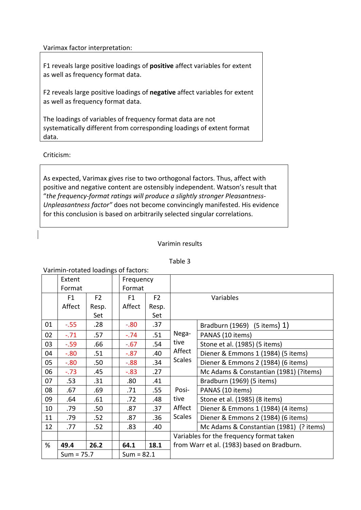Varimax factor interpretation:

F1 reveals large positive loadings of **positive** affect variables for extent as well as frequency format data.

F2 reveals large positive loadings of **negative** affect variables for extent as well as frequency format data.

The loadings of variables of frequency format data are not systematically different from corresponding loadings of extent format data.

Criticism:

As expected, Varimax gives rise to two orthogonal factors. Thus, affect with positive and negative content are ostensibly independent. Watson's result that "the frequency-format ratings will produce a slightly stronger Pleasantness-*Unpleasantness factor"* does not become convincingly manifested. His evidence for this conclusion is based on arbitrarily selected singular correlations.

## Varimin results

| Varimin-rotated loadings of factors: |                |                |  |              |                |                                            |                                         |  |  |  |
|--------------------------------------|----------------|----------------|--|--------------|----------------|--------------------------------------------|-----------------------------------------|--|--|--|
|                                      | Extent         |                |  | Frequency    |                |                                            |                                         |  |  |  |
|                                      | Format         |                |  | Format       |                |                                            |                                         |  |  |  |
|                                      | F <sub>1</sub> | F <sub>2</sub> |  | F1           | F <sub>2</sub> | Variables                                  |                                         |  |  |  |
|                                      | Affect         | Resp.          |  | Affect       | Resp.          |                                            |                                         |  |  |  |
|                                      |                | Set            |  |              | Set            |                                            |                                         |  |  |  |
| 01                                   | $-.55$         | .28            |  | $-0.80$      | .37            | Nega-<br>tive<br>Affect<br><b>Scales</b>   | Bradburn (1969) (5 items) 1)            |  |  |  |
| 02                                   | $-.71$         | .57            |  | $-.74$       | .51            |                                            | PANAS (10 items)                        |  |  |  |
| 03                                   | $-.59$         | .66            |  | $-0.67$      | .54            |                                            | Stone et al. (1985) (5 items)           |  |  |  |
| 04                                   | $-0.80$        | .51            |  | $-0.87$      | .40            |                                            | Diener & Emmons 1 (1984) (5 items)      |  |  |  |
| 05                                   | $-0.80$        | .50            |  | $-0.88$      | .34            |                                            | Diener & Emmons 2 (1984) (6 items)      |  |  |  |
| 06                                   | $-.73$         | .45            |  | $-0.83$      | .27            |                                            | Mc Adams & Constantian (1981) (?items)  |  |  |  |
| 07                                   | .53            | .31            |  | .80          | .41            | Posi-<br>tive<br>Affect<br><b>Scales</b>   | Bradburn (1969) (5 items)               |  |  |  |
| 08                                   | .67            | .69            |  | .71          | .55            |                                            | PANAS (10 items)                        |  |  |  |
| 09                                   | .64            | .61            |  | .72          | .48            |                                            | Stone et al. (1985) (8 items)           |  |  |  |
| 10                                   | .79            | .50            |  | .87          | .37            |                                            | Diener & Emmons 1 (1984) (4 items)      |  |  |  |
| 11                                   | .79            | .52            |  | .87          | .36            |                                            | Diener & Emmons 2 (1984) (6 items)      |  |  |  |
| 12                                   | .77            | .52            |  | .83          | .40            |                                            | Mc Adams & Constantian (1981) (? items) |  |  |  |
|                                      |                |                |  |              |                | Variables for the frequency format taken   |                                         |  |  |  |
| %                                    | 49.4           | 26.2           |  | 64.1         | 18.1           | from Warr et al. (1983) based on Bradburn. |                                         |  |  |  |
|                                      | $Sum = 75.7$   |                |  | $Sum = 82.1$ |                |                                            |                                         |  |  |  |

### Table 3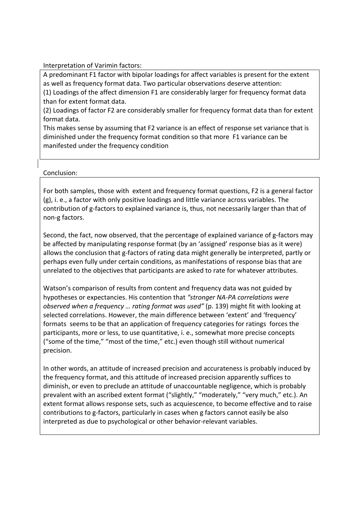Interpretation of Varimin factors:

A predominant F1 factor with bipolar loadings for affect variables is present for the extent as well as frequency format data. Two particular observations deserve attention:

(1) Loadings of the affect dimension F1 are considerably larger for frequency format data than for extent format data.

(2) Loadings of factor F2 are considerably smaller for frequency format data than for extent format data.

This makes sense by assuming that F2 variance is an effect of response set variance that is diminished under the frequency format condition so that more F1 variance can be manifested under the frequency condition

Conclusion:

For both samples, those with extent and frequency format questions, F2 is a general factor  $(g)$ , i. e., a factor with only positive loadings and little variance across variables. The contribution of g-factors to explained variance is, thus, not necessarily larger than that of non-g factors.

Second, the fact, now observed, that the percentage of explained variance of g-factors may be affected by manipulating response format (by an 'assigned' response bias as it were) allows the conclusion that g-factors of rating data might generally be interpreted, partly or perhaps even fully under certain conditions, as manifestations of response bias that are unrelated to the objectives that participants are asked to rate for whatever attributes.

Watson's comparison of results from content and frequency data was not guided by hypotheses or expectancies. His contention that "stronger NA-PA correlations were *observed when a frequency ... rating format was used"* (p. 139) might fit with looking at selected correlations. However, the main difference between 'extent' and 'frequency' formats seems to be that an application of frequency categories for ratings forces the participants, more or less, to use quantitative, i. e., somewhat more precise concepts ("some of the time," "most of the time," etc.) even though still without numerical precision.

In other words, an attitude of increased precision and accurateness is probably induced by the frequency format, and this attitude of increased precision apparently suffices to diminish, or even to preclude an attitude of unaccountable negligence, which is probably prevalent with an ascribed extent format ("slightly," "moderately," "very much," etc.). An extent format allows response sets, such as acquiescence, to become effective and to raise contributions to g-factors, particularly in cases when g factors cannot easily be also interpreted as due to psychological or other behavior-relevant variables.